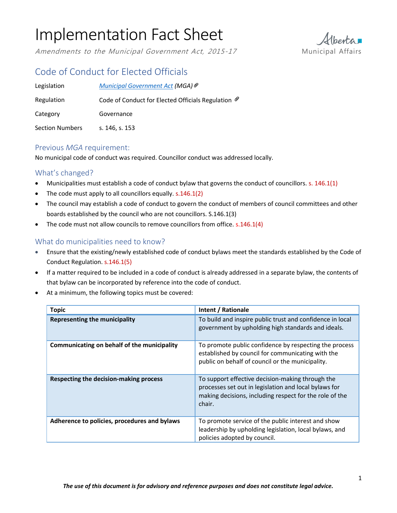Amendments to the Municipal Government Act, 2015-17 Municipal Affairs



# Code of Conduct for Elected Officials

| Legislation            | Municipal Government Act (MGA) ®                               |
|------------------------|----------------------------------------------------------------|
| Regulation             | Code of Conduct for Elected Officials Regulation $\mathcal{P}$ |
| Category               | Governance                                                     |
| <b>Section Numbers</b> | s. 146, s. 153                                                 |

### Previous *MGA* requirement:

No municipal code of conduct was required. Councillor conduct was addressed locally.

## What's changed?

- Municipalities must establish a code of conduct bylaw that governs the conduct of councillors. s. 146.1(1)
- The code must apply to all councillors equally. s.146.1(2)
- The council may establish a code of conduct to govern the conduct of members of council committees and other boards established by the council who are not councillors. S.146.1(3)
- $\bullet$  The code must not allow councils to remove councillors from office. s.146.1(4)

### What do municipalities need to know?

- Ensure that the existing/newly established code of conduct bylaws meet the standards established by the Code of Conduct Regulation. s.146.1(5)
- If a matter required to be included in a code of conduct is already addressed in a separate bylaw, the contents of that bylaw can be incorporated by reference into the code of conduct.
- At a minimum, the following topics must be covered:

| <b>Topic</b>                                 | Intent / Rationale                                                                                                                                                             |
|----------------------------------------------|--------------------------------------------------------------------------------------------------------------------------------------------------------------------------------|
| <b>Representing the municipality</b>         | To build and inspire public trust and confidence in local<br>government by upholding high standards and ideals.                                                                |
| Communicating on behalf of the municipality  | To promote public confidence by respecting the process<br>established by council for communicating with the<br>public on behalf of council or the municipality.                |
| Respecting the decision-making process       | To support effective decision-making through the<br>processes set out in legislation and local bylaws for<br>making decisions, including respect for the role of the<br>chair. |
| Adherence to policies, procedures and bylaws | To promote service of the public interest and show<br>leadership by upholding legislation, local bylaws, and<br>policies adopted by council.                                   |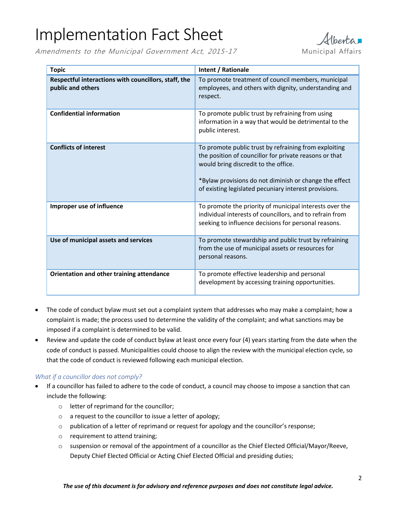Amendments to the Municipal Government Act, 2015-17 Municipal Affairs



| <b>Topic</b>                                                              | Intent / Rationale                                                                                                                                                                                                                                                         |
|---------------------------------------------------------------------------|----------------------------------------------------------------------------------------------------------------------------------------------------------------------------------------------------------------------------------------------------------------------------|
| Respectful interactions with councillors, staff, the<br>public and others | To promote treatment of council members, municipal<br>employees, and others with dignity, understanding and<br>respect.                                                                                                                                                    |
| <b>Confidential information</b>                                           | To promote public trust by refraining from using<br>information in a way that would be detrimental to the<br>public interest.                                                                                                                                              |
| <b>Conflicts of interest</b>                                              | To promote public trust by refraining from exploiting<br>the position of councillor for private reasons or that<br>would bring discredit to the office.<br>*Bylaw provisions do not diminish or change the effect<br>of existing legislated pecuniary interest provisions. |
| Improper use of influence                                                 | To promote the priority of municipal interests over the<br>individual interests of councillors, and to refrain from<br>seeking to influence decisions for personal reasons.                                                                                                |
| Use of municipal assets and services                                      | To promote stewardship and public trust by refraining<br>from the use of municipal assets or resources for<br>personal reasons.                                                                                                                                            |
| Orientation and other training attendance                                 | To promote effective leadership and personal<br>development by accessing training opportunities.                                                                                                                                                                           |

- The code of conduct bylaw must set out a complaint system that addresses who may make a complaint; how a complaint is made; the process used to determine the validity of the complaint; and what sanctions may be imposed if a complaint is determined to be valid.
- Review and update the code of conduct bylaw at least once every four (4) years starting from the date when the code of conduct is passed. Municipalities could choose to align the review with the municipal election cycle, so that the code of conduct is reviewed following each municipal election.

#### *What if a councillor does not comply?*

- If a councillor has failed to adhere to the code of conduct, a council may choose to impose a sanction that can include the following:
	- o letter of reprimand for the councillor;
	- o a request to the councillor to issue a letter of apology;
	- o publication of a letter of reprimand or request for apology and the councillor's response;
	- o requirement to attend training;
	- $\circ$  suspension or removal of the appointment of a councillor as the Chief Elected Official/Mayor/Reeve, Deputy Chief Elected Official or Acting Chief Elected Official and presiding duties;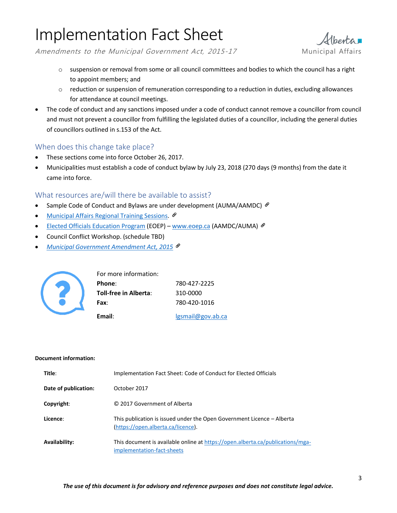Amendments to the Municipal Government Act, 2015-17 Municipal Affairs

- $\circ$  suspension or removal from some or all council committees and bodies to which the council has a right to appoint members; and
- $\circ$  reduction or suspension of remuneration corresponding to a reduction in duties, excluding allowances for attendance at council meetings.
- The code of conduct and any sanctions imposed under a code of conduct cannot remove a councillor from council and must not prevent a councillor from fulfilling the legislated duties of a councillor, including the general duties of councillors outlined in s.153 of the Act.

## When does this change take place?

- These sections come into force October 26, 2017.
- Municipalities must establish a code of conduct bylaw by July 23, 2018 (270 days (9 months) from the date it came into force.

### What resources are/will there be available to assist?

- Sample Code of Conduct and Bylaws are under development (AUMA/AAMDC)  $\mathcal{P}$
- [Municipal Affairs Regional Training Sessions](http://www.municipalaffairs.alberta.ca/online-event-registration?fuseaction=EventRegistration&EVENT_ID=181).  $\circ$
- [Elected Officials Education Program](http://eoep.ca/home) (EOEP) [www.eoep.ca](http://www.eoep.ca/) (AAMDC/AUMA) &
- Council Conflict Workshop. (schedule TBD)
- *[Municipal Government Amendment Act,](http://www.assembly.ab.ca/ISYS/LADDAR_files/docs/bills/bill/legislature_28/session_3/20141117_bill-020.pdf) 2015*



| For more information: |                   |
|-----------------------|-------------------|
| Phone:                | 780-427-2225      |
| Toll-free in Alberta: | 310-0000          |
| <b>Fax:</b>           | 780-420-1016      |
| Email:                | lgsmail@gov.ab.ca |

#### **Document information:**

| Title:               | Implementation Fact Sheet: Code of Conduct for Elected Officials                                             |
|----------------------|--------------------------------------------------------------------------------------------------------------|
| Date of publication: | October 2017                                                                                                 |
| Copyright:           | © 2017 Government of Alberta                                                                                 |
| Licence:             | This publication is issued under the Open Government Licence – Alberta<br>(https://open.alberta.ca/licence). |
| Availability:        | This document is available online at https://open.alberta.ca/publications/mga-<br>implementation-fact-sheets |

Therta<sub>1</sub>